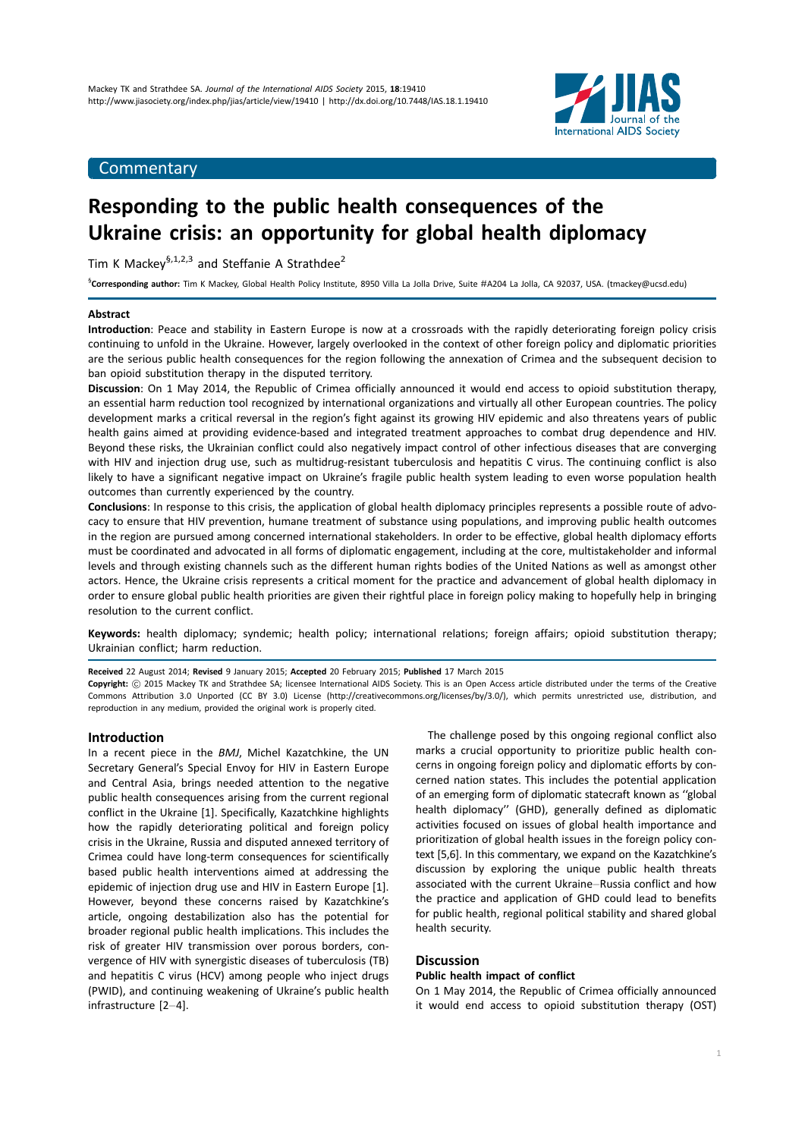

# **Commentary**

# Responding to the public health consequences of the Ukraine crisis: an opportunity for global health diplomacy

Tim K Mackey $^{6,1,2,3}$  and Steffanie A Strathdee<sup>2</sup>

<sup>§</sup>Corresponding author: Tim K Mackey, Global Health Policy Institute, 8950 Villa La Jolla Drive, Suite #A204 La Jolla, CA 92037, USA. (tmackey@ucsd.edu)

# Abstract

Introduction: Peace and stability in Eastern Europe is now at a crossroads with the rapidly deteriorating foreign policy crisis continuing to unfold in the Ukraine. However, largely overlooked in the context of other foreign policy and diplomatic priorities are the serious public health consequences for the region following the annexation of Crimea and the subsequent decision to ban opioid substitution therapy in the disputed territory.

Discussion: On 1 May 2014, the Republic of Crimea officially announced it would end access to opioid substitution therapy, an essential harm reduction tool recognized by international organizations and virtually all other European countries. The policy development marks a critical reversal in the region's fight against its growing HIV epidemic and also threatens years of public health gains aimed at providing evidence-based and integrated treatment approaches to combat drug dependence and HIV. Beyond these risks, the Ukrainian conflict could also negatively impact control of other infectious diseases that are converging with HIV and injection drug use, such as multidrug-resistant tuberculosis and hepatitis C virus. The continuing conflict is also likely to have a significant negative impact on Ukraine's fragile public health system leading to even worse population health outcomes than currently experienced by the country.

Conclusions: In response to this crisis, the application of global health diplomacy principles represents a possible route of advocacy to ensure that HIV prevention, humane treatment of substance using populations, and improving public health outcomes in the region are pursued among concerned international stakeholders. In order to be effective, global health diplomacy efforts must be coordinated and advocated in all forms of diplomatic engagement, including at the core, multistakeholder and informal levels and through existing channels such as the different human rights bodies of the United Nations as well as amongst other actors. Hence, the Ukraine crisis represents a critical moment for the practice and advancement of global health diplomacy in order to ensure global public health priorities are given their rightful place in foreign policy making to hopefully help in bringing resolution to the current conflict.

Keywords: health diplomacy; syndemic; health policy; international relations; foreign affairs; opioid substitution therapy; Ukrainian conflict; harm reduction.

Received 22 August 2014; Revised 9 January 2015; Accepted 20 February 2015; Published 17 March 2015

Copyright: © 2015 Mackey TK and Strathdee SA; licensee International AIDS Society. This is an Open Access article distributed under the terms of the Creative Commons Attribution 3.0 Unported (CC BY 3.0) License (http://creativecommons.org/licenses/by/3.0/), which permits unrestricted use, distribution, and reproduction in any medium, provided the original work is properly cited.

## Introduction

In a recent piece in the BMJ, Michel Kazatchkine, the UN Secretary General's Special Envoy for HIV in Eastern Europe and Central Asia, brings needed attention to the negative public health consequences arising from the current regional conflict in the Ukraine [1]. Specifically, Kazatchkine highlights how the rapidly deteriorating political and foreign policy crisis in the Ukraine, Russia and disputed annexed territory of Crimea could have long-term consequences for scientifically based public health interventions aimed at addressing the epidemic of injection drug use and HIV in Eastern Europe [1]. However, beyond these concerns raised by Kazatchkine's article, ongoing destabilization also has the potential for broader regional public health implications. This includes the risk of greater HIV transmission over porous borders, convergence of HIV with synergistic diseases of tuberculosis (TB) and hepatitis C virus (HCV) among people who inject drugs (PWID), and continuing weakening of Ukraine's public health infrastructure [2-4].

The challenge posed by this ongoing regional conflict also marks a crucial opportunity to prioritize public health concerns in ongoing foreign policy and diplomatic efforts by concerned nation states. This includes the potential application of an emerging form of diplomatic statecraft known as ''global health diplomacy'' (GHD), generally defined as diplomatic activities focused on issues of global health importance and prioritization of global health issues in the foreign policy context [5,6]. In this commentary, we expand on the Kazatchkine's discussion by exploring the unique public health threats associated with the current Ukraine-Russia conflict and how the practice and application of GHD could lead to benefits for public health, regional political stability and shared global health security.

# **Discussion**

## Public health impact of conflict

On 1 May 2014, the Republic of Crimea officially announced it would end access to opioid substitution therapy (OST)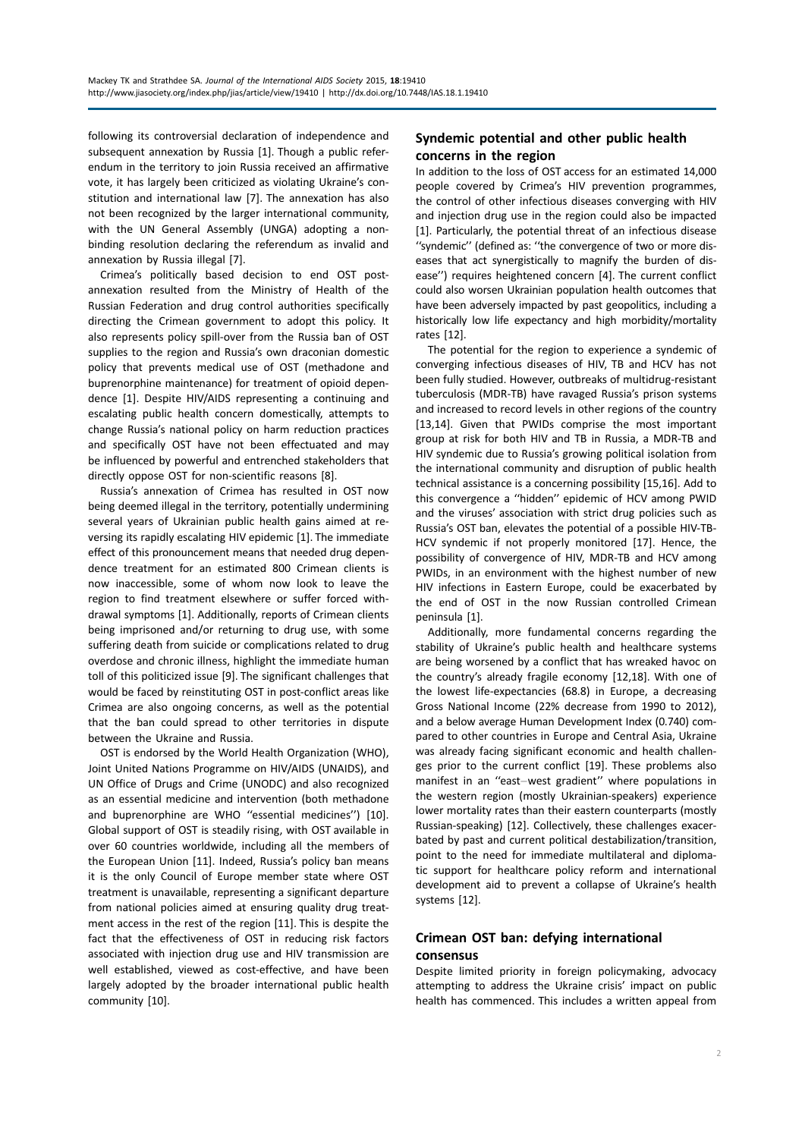following its controversial declaration of independence and subsequent annexation by Russia [1]. Though a public referendum in the territory to join Russia received an affirmative vote, it has largely been criticized as violating Ukraine's constitution and international law [7]. The annexation has also not been recognized by the larger international community, with the UN General Assembly (UNGA) adopting a nonbinding resolution declaring the referendum as invalid and annexation by Russia illegal [7].

Crimea's politically based decision to end OST postannexation resulted from the Ministry of Health of the Russian Federation and drug control authorities specifically directing the Crimean government to adopt this policy. It also represents policy spill-over from the Russia ban of OST supplies to the region and Russia's own draconian domestic policy that prevents medical use of OST (methadone and buprenorphine maintenance) for treatment of opioid dependence [1]. Despite HIV/AIDS representing a continuing and escalating public health concern domestically, attempts to change Russia's national policy on harm reduction practices and specifically OST have not been effectuated and may be influenced by powerful and entrenched stakeholders that directly oppose OST for non-scientific reasons [8].

Russia's annexation of Crimea has resulted in OST now being deemed illegal in the territory, potentially undermining several years of Ukrainian public health gains aimed at reversing its rapidly escalating HIV epidemic [1]. The immediate effect of this pronouncement means that needed drug dependence treatment for an estimated 800 Crimean clients is now inaccessible, some of whom now look to leave the region to find treatment elsewhere or suffer forced withdrawal symptoms [1]. Additionally, reports of Crimean clients being imprisoned and/or returning to drug use, with some suffering death from suicide or complications related to drug overdose and chronic illness, highlight the immediate human toll of this politicized issue [9]. The significant challenges that would be faced by reinstituting OST in post-conflict areas like Crimea are also ongoing concerns, as well as the potential that the ban could spread to other territories in dispute between the Ukraine and Russia.

OST is endorsed by the World Health Organization (WHO), Joint United Nations Programme on HIV/AIDS (UNAIDS), and UN Office of Drugs and Crime (UNODC) and also recognized as an essential medicine and intervention (both methadone and buprenorphine are WHO "essential medicines") [10]. Global support of OST is steadily rising, with OST available in over 60 countries worldwide, including all the members of the European Union [11]. Indeed, Russia's policy ban means it is the only Council of Europe member state where OST treatment is unavailable, representing a significant departure from national policies aimed at ensuring quality drug treatment access in the rest of the region [11]. This is despite the fact that the effectiveness of OST in reducing risk factors associated with injection drug use and HIV transmission are well established, viewed as cost-effective, and have been largely adopted by the broader international public health community [10].

# Syndemic potential and other public health concerns in the region

In addition to the loss of OST access for an estimated 14,000 people covered by Crimea's HIV prevention programmes, the control of other infectious diseases converging with HIV and injection drug use in the region could also be impacted [1]. Particularly, the potential threat of an infectious disease ''syndemic'' (defined as: ''the convergence of two or more diseases that act synergistically to magnify the burden of disease'') requires heightened concern [4]. The current conflict could also worsen Ukrainian population health outcomes that have been adversely impacted by past geopolitics, including a historically low life expectancy and high morbidity/mortality rates [12].

The potential for the region to experience a syndemic of converging infectious diseases of HIV, TB and HCV has not been fully studied. However, outbreaks of multidrug-resistant tuberculosis (MDR-TB) have ravaged Russia's prison systems and increased to record levels in other regions of the country [13,14]. Given that PWIDs comprise the most important group at risk for both HIV and TB in Russia, a MDR-TB and HIV syndemic due to Russia's growing political isolation from the international community and disruption of public health technical assistance is a concerning possibility [15,16]. Add to this convergence a ''hidden'' epidemic of HCV among PWID and the viruses' association with strict drug policies such as Russia's OST ban, elevates the potential of a possible HIV-TB-HCV syndemic if not properly monitored [17]. Hence, the possibility of convergence of HIV, MDR-TB and HCV among PWIDs, in an environment with the highest number of new HIV infections in Eastern Europe, could be exacerbated by the end of OST in the now Russian controlled Crimean peninsula [1].

Additionally, more fundamental concerns regarding the stability of Ukraine's public health and healthcare systems are being worsened by a conflict that has wreaked havoc on the country's already fragile economy [12,18]. With one of the lowest life-expectancies (68.8) in Europe, a decreasing Gross National Income (22% decrease from 1990 to 2012), and a below average Human Development Index (0.740) compared to other countries in Europe and Central Asia, Ukraine was already facing significant economic and health challenges prior to the current conflict [19]. These problems also manifest in an ''east-west gradient'' where populations in the western region (mostly Ukrainian-speakers) experience lower mortality rates than their eastern counterparts (mostly Russian-speaking) [12]. Collectively, these challenges exacerbated by past and current political destabilization/transition, point to the need for immediate multilateral and diplomatic support for healthcare policy reform and international development aid to prevent a collapse of Ukraine's health systems [12].

# Crimean OST ban: defying international consensus

Despite limited priority in foreign policymaking, advocacy attempting to address the Ukraine crisis' impact on public health has commenced. This includes a written appeal from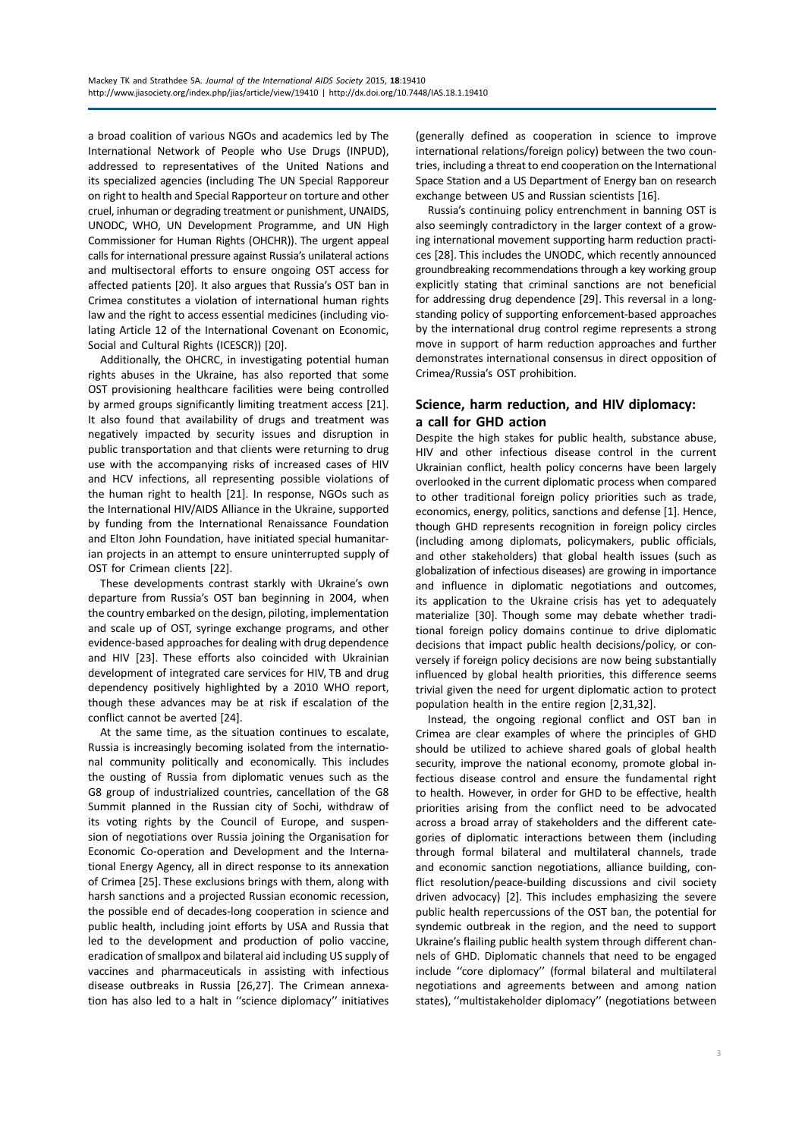a broad coalition of various NGOs and academics led by The International Network of People who Use Drugs (INPUD), addressed to representatives of the United Nations and its specialized agencies (including The UN Special Rapporeur on right to health and Special Rapporteur on torture and other cruel, inhuman or degrading treatment or punishment, UNAIDS, UNODC, WHO, UN Development Programme, and UN High Commissioner for Human Rights (OHCHR)). The urgent appeal calls for international pressure against Russia's unilateral actions and multisectoral efforts to ensure ongoing OST access for affected patients [20]. It also argues that Russia's OST ban in Crimea constitutes a violation of international human rights law and the right to access essential medicines (including violating Article 12 of the International Covenant on Economic, Social and Cultural Rights (ICESCR)) [20].

Additionally, the OHCRC, in investigating potential human rights abuses in the Ukraine, has also reported that some OST provisioning healthcare facilities were being controlled by armed groups significantly limiting treatment access [21]. It also found that availability of drugs and treatment was negatively impacted by security issues and disruption in public transportation and that clients were returning to drug use with the accompanying risks of increased cases of HIV and HCV infections, all representing possible violations of the human right to health [21]. In response, NGOs such as the International HIV/AIDS Alliance in the Ukraine, supported by funding from the International Renaissance Foundation and Elton John Foundation, have initiated special humanitarian projects in an attempt to ensure uninterrupted supply of OST for Crimean clients [22].

These developments contrast starkly with Ukraine's own departure from Russia's OST ban beginning in 2004, when the country embarked on the design, piloting, implementation and scale up of OST, syringe exchange programs, and other evidence-based approaches for dealing with drug dependence and HIV [23]. These efforts also coincided with Ukrainian development of integrated care services for HIV, TB and drug dependency positively highlighted by a 2010 WHO report, though these advances may be at risk if escalation of the conflict cannot be averted [24].

At the same time, as the situation continues to escalate, Russia is increasingly becoming isolated from the international community politically and economically. This includes the ousting of Russia from diplomatic venues such as the G8 group of industrialized countries, cancellation of the G8 Summit planned in the Russian city of Sochi, withdraw of its voting rights by the Council of Europe, and suspension of negotiations over Russia joining the Organisation for Economic Co-operation and Development and the International Energy Agency, all in direct response to its annexation of Crimea [25]. These exclusions brings with them, along with harsh sanctions and a projected Russian economic recession, the possible end of decades-long cooperation in science and public health, including joint efforts by USA and Russia that led to the development and production of polio vaccine, eradication of smallpox and bilateral aid including US supply of vaccines and pharmaceuticals in assisting with infectious disease outbreaks in Russia [26,27]. The Crimean annexation has also led to a halt in ''science diplomacy'' initiatives (generally defined as cooperation in science to improve international relations/foreign policy) between the two countries, including a threat to end cooperation on the International Space Station and a US Department of Energy ban on research exchange between US and Russian scientists [16].

Russia's continuing policy entrenchment in banning OST is also seemingly contradictory in the larger context of a growing international movement supporting harm reduction practices [28]. This includes the UNODC, which recently announced groundbreaking recommendations through a key working group explicitly stating that criminal sanctions are not beneficial for addressing drug dependence [29]. This reversal in a longstanding policy of supporting enforcement-based approaches by the international drug control regime represents a strong move in support of harm reduction approaches and further demonstrates international consensus in direct opposition of Crimea/Russia's OST prohibition.

# Science, harm reduction, and HIV diplomacy: a call for GHD action

Despite the high stakes for public health, substance abuse, HIV and other infectious disease control in the current Ukrainian conflict, health policy concerns have been largely overlooked in the current diplomatic process when compared to other traditional foreign policy priorities such as trade, economics, energy, politics, sanctions and defense [1]. Hence, though GHD represents recognition in foreign policy circles (including among diplomats, policymakers, public officials, and other stakeholders) that global health issues (such as globalization of infectious diseases) are growing in importance and influence in diplomatic negotiations and outcomes, its application to the Ukraine crisis has yet to adequately materialize [30]. Though some may debate whether traditional foreign policy domains continue to drive diplomatic decisions that impact public health decisions/policy, or conversely if foreign policy decisions are now being substantially influenced by global health priorities, this difference seems trivial given the need for urgent diplomatic action to protect population health in the entire region [2,31,32].

Instead, the ongoing regional conflict and OST ban in Crimea are clear examples of where the principles of GHD should be utilized to achieve shared goals of global health security, improve the national economy, promote global infectious disease control and ensure the fundamental right to health. However, in order for GHD to be effective, health priorities arising from the conflict need to be advocated across a broad array of stakeholders and the different categories of diplomatic interactions between them (including through formal bilateral and multilateral channels, trade and economic sanction negotiations, alliance building, conflict resolution/peace-building discussions and civil society driven advocacy) [2]. This includes emphasizing the severe public health repercussions of the OST ban, the potential for syndemic outbreak in the region, and the need to support Ukraine's flailing public health system through different channels of GHD. Diplomatic channels that need to be engaged include ''core diplomacy'' (formal bilateral and multilateral negotiations and agreements between and among nation states), ''multistakeholder diplomacy'' (negotiations between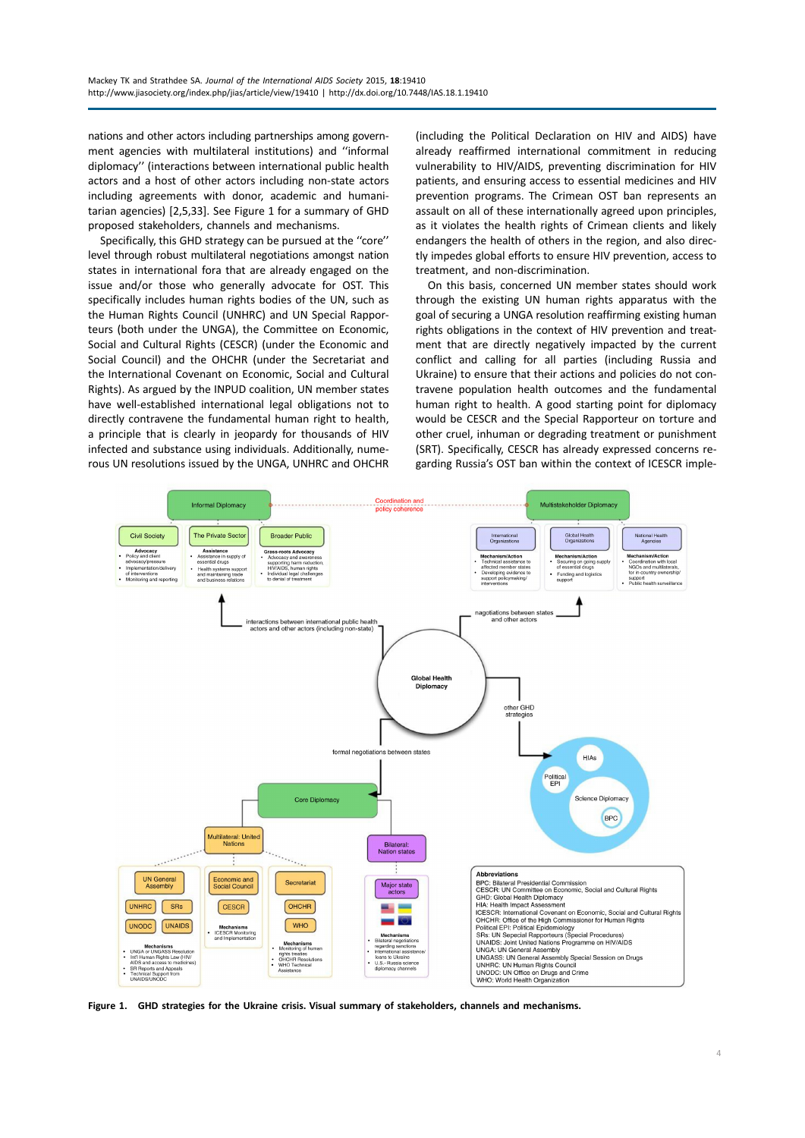nations and other actors including partnerships among government agencies with multilateral institutions) and ''informal diplomacy'' (interactions between international public health actors and a host of other actors including non-state actors including agreements with donor, academic and humanitarian agencies) [2,5,33]. See Figure 1 for a summary of GHD proposed stakeholders, channels and mechanisms.

Specifically, this GHD strategy can be pursued at the ''core'' level through robust multilateral negotiations amongst nation states in international fora that are already engaged on the issue and/or those who generally advocate for OST. This specifically includes human rights bodies of the UN, such as the Human Rights Council (UNHRC) and UN Special Rapporteurs (both under the UNGA), the Committee on Economic, Social and Cultural Rights (CESCR) (under the Economic and Social Council) and the OHCHR (under the Secretariat and the International Covenant on Economic, Social and Cultural Rights). As argued by the INPUD coalition, UN member states have well-established international legal obligations not to directly contravene the fundamental human right to health, a principle that is clearly in jeopardy for thousands of HIV infected and substance using individuals. Additionally, numerous UN resolutions issued by the UNGA, UNHRC and OHCHR

(including the Political Declaration on HIV and AIDS) have already reaffirmed international commitment in reducing vulnerability to HIV/AIDS, preventing discrimination for HIV patients, and ensuring access to essential medicines and HIV prevention programs. The Crimean OST ban represents an assault on all of these internationally agreed upon principles, as it violates the health rights of Crimean clients and likely endangers the health of others in the region, and also directly impedes global efforts to ensure HIV prevention, access to treatment, and non-discrimination.

On this basis, concerned UN member states should work through the existing UN human rights apparatus with the goal of securing a UNGA resolution reaffirming existing human rights obligations in the context of HIV prevention and treatment that are directly negatively impacted by the current conflict and calling for all parties (including Russia and Ukraine) to ensure that their actions and policies do not contravene population health outcomes and the fundamental human right to health. A good starting point for diplomacy would be CESCR and the Special Rapporteur on torture and other cruel, inhuman or degrading treatment or punishment (SRT). Specifically, CESCR has already expressed concerns regarding Russia's OST ban within the context of ICESCR imple-



Figure 1. GHD strategies for the Ukraine crisis. Visual summary of stakeholders, channels and mechanisms.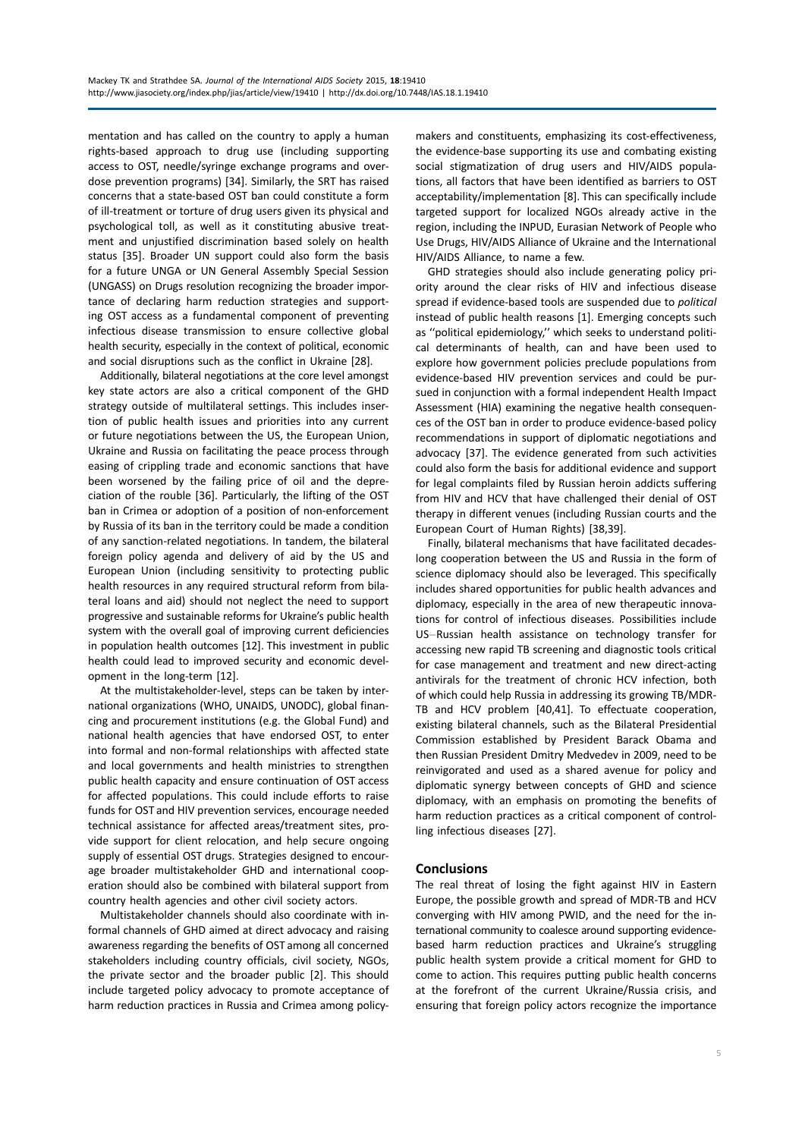mentation and has called on the country to apply a human rights-based approach to drug use (including supporting access to OST, needle/syringe exchange programs and overdose prevention programs) [34]. Similarly, the SRT has raised concerns that a state-based OST ban could constitute a form of ill-treatment or torture of drug users given its physical and psychological toll, as well as it constituting abusive treatment and unjustified discrimination based solely on health status [35]. Broader UN support could also form the basis for a future UNGA or UN General Assembly Special Session (UNGASS) on Drugs resolution recognizing the broader importance of declaring harm reduction strategies and supporting OST access as a fundamental component of preventing infectious disease transmission to ensure collective global health security, especially in the context of political, economic and social disruptions such as the conflict in Ukraine [28].

Additionally, bilateral negotiations at the core level amongst key state actors are also a critical component of the GHD strategy outside of multilateral settings. This includes insertion of public health issues and priorities into any current or future negotiations between the US, the European Union, Ukraine and Russia on facilitating the peace process through easing of crippling trade and economic sanctions that have been worsened by the failing price of oil and the depreciation of the rouble [36]. Particularly, the lifting of the OST ban in Crimea or adoption of a position of non-enforcement by Russia of its ban in the territory could be made a condition of any sanction-related negotiations. In tandem, the bilateral foreign policy agenda and delivery of aid by the US and European Union (including sensitivity to protecting public health resources in any required structural reform from bilateral loans and aid) should not neglect the need to support progressive and sustainable reforms for Ukraine's public health system with the overall goal of improving current deficiencies in population health outcomes [12]. This investment in public health could lead to improved security and economic development in the long-term [12].

At the multistakeholder-level, steps can be taken by international organizations (WHO, UNAIDS, UNODC), global financing and procurement institutions (e.g. the Global Fund) and national health agencies that have endorsed OST, to enter into formal and non-formal relationships with affected state and local governments and health ministries to strengthen public health capacity and ensure continuation of OST access for affected populations. This could include efforts to raise funds for OST and HIV prevention services, encourage needed technical assistance for affected areas/treatment sites, provide support for client relocation, and help secure ongoing supply of essential OST drugs. Strategies designed to encourage broader multistakeholder GHD and international cooperation should also be combined with bilateral support from country health agencies and other civil society actors.

Multistakeholder channels should also coordinate with informal channels of GHD aimed at direct advocacy and raising awareness regarding the benefits of OST among all concerned stakeholders including country officials, civil society, NGOs, the private sector and the broader public [2]. This should include targeted policy advocacy to promote acceptance of harm reduction practices in Russia and Crimea among policymakers and constituents, emphasizing its cost-effectiveness, the evidence-base supporting its use and combating existing social stigmatization of drug users and HIV/AIDS populations, all factors that have been identified as barriers to OST acceptability/implementation [8]. This can specifically include targeted support for localized NGOs already active in the region, including the INPUD, Eurasian Network of People who Use Drugs, HIV/AIDS Alliance of Ukraine and the International HIV/AIDS Alliance, to name a few.

GHD strategies should also include generating policy priority around the clear risks of HIV and infectious disease spread if evidence-based tools are suspended due to political instead of public health reasons [1]. Emerging concepts such as ''political epidemiology,'' which seeks to understand political determinants of health, can and have been used to explore how government policies preclude populations from evidence-based HIV prevention services and could be pursued in conjunction with a formal independent Health Impact Assessment (HIA) examining the negative health consequences of the OST ban in order to produce evidence-based policy recommendations in support of diplomatic negotiations and advocacy [37]. The evidence generated from such activities could also form the basis for additional evidence and support for legal complaints filed by Russian heroin addicts suffering from HIV and HCV that have challenged their denial of OST therapy in different venues (including Russian courts and the European Court of Human Rights) [38,39].

Finally, bilateral mechanisms that have facilitated decadeslong cooperation between the US and Russia in the form of science diplomacy should also be leveraged. This specifically includes shared opportunities for public health advances and diplomacy, especially in the area of new therapeutic innovations for control of infectious diseases. Possibilities include US-Russian health assistance on technology transfer for accessing new rapid TB screening and diagnostic tools critical for case management and treatment and new direct-acting antivirals for the treatment of chronic HCV infection, both of which could help Russia in addressing its growing TB/MDR-TB and HCV problem [40,41]. To effectuate cooperation, existing bilateral channels, such as the Bilateral Presidential Commission established by President Barack Obama and then Russian President Dmitry Medvedev in 2009, need to be reinvigorated and used as a shared avenue for policy and diplomatic synergy between concepts of GHD and science diplomacy, with an emphasis on promoting the benefits of harm reduction practices as a critical component of controlling infectious diseases [27].

## **Conclusions**

The real threat of losing the fight against HIV in Eastern Europe, the possible growth and spread of MDR-TB and HCV converging with HIV among PWID, and the need for the international community to coalesce around supporting evidencebased harm reduction practices and Ukraine's struggling public health system provide a critical moment for GHD to come to action. This requires putting public health concerns at the forefront of the current Ukraine/Russia crisis, and ensuring that foreign policy actors recognize the importance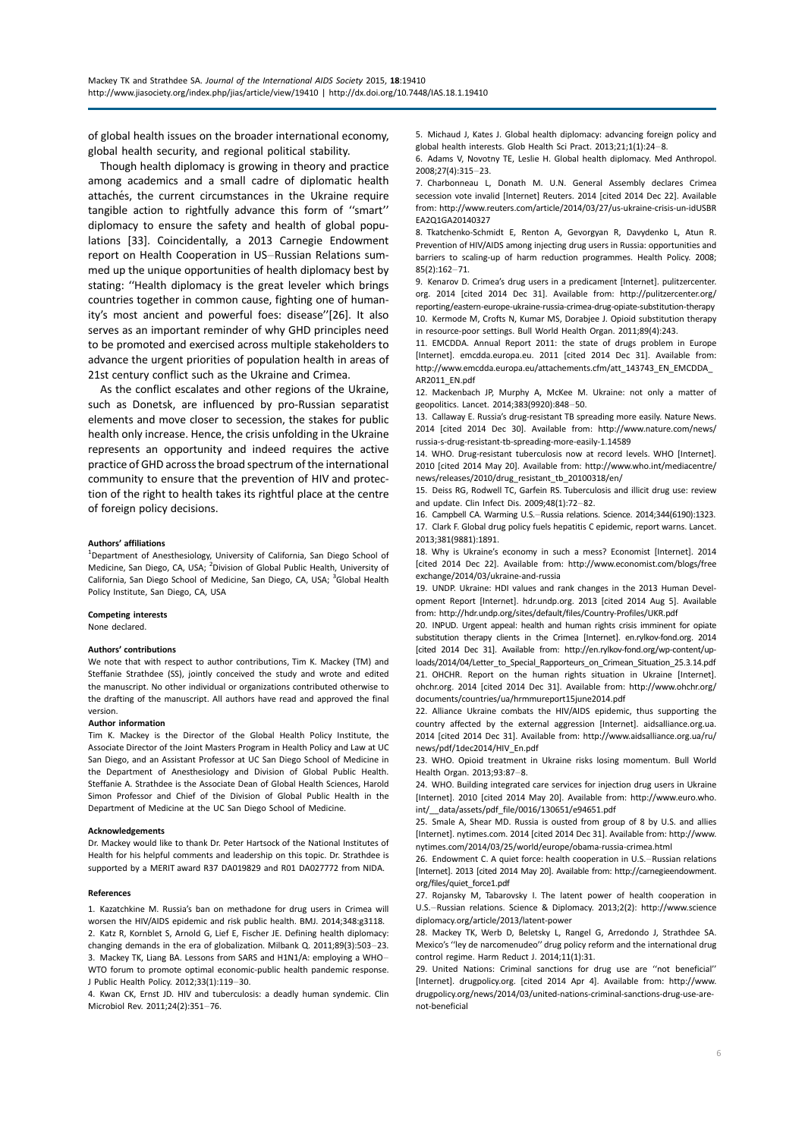of global health issues on the broader international economy, global health security, and regional political stability.

Though health diplomacy is growing in theory and practice among academics and a small cadre of diplomatic health attachés, the current circumstances in the Ukraine require tangible action to rightfully advance this form of ''smart'' diplomacy to ensure the safety and health of global populations [33]. Coincidentally, a 2013 Carnegie Endowment report on Health Cooperation in US-Russian Relations summed up the unique opportunities of health diplomacy best by stating: ''Health diplomacy is the great leveler which brings countries together in common cause, fighting one of humanity's most ancient and powerful foes: disease''[26]. It also serves as an important reminder of why GHD principles need to be promoted and exercised across multiple stakeholders to advance the urgent priorities of population health in areas of 21st century conflict such as the Ukraine and Crimea.

As the conflict escalates and other regions of the Ukraine, such as Donetsk, are influenced by pro-Russian separatist elements and move closer to secession, the stakes for public health only increase. Hence, the crisis unfolding in the Ukraine represents an opportunity and indeed requires the active practice of GHD across the broad spectrum of the international community to ensure that the prevention of HIV and protection of the right to health takes its rightful place at the centre of foreign policy decisions.

### Authors' affiliations

<sup>1</sup>Department of Anesthesiology, University of California, San Diego School of Medicine, San Diego, CA, USA; <sup>2</sup>Division of Global Public Health, University of California, San Diego School of Medicine, San Diego, CA, USA; <sup>3</sup>Global Health Policy Institute, San Diego, CA, USA

#### Competing interests

None declared.

#### Authors' contributions

We note that with respect to author contributions. Tim K. Mackey (TM) and Steffanie Strathdee (SS), jointly conceived the study and wrote and edited the manuscript. No other individual or organizations contributed otherwise to the drafting of the manuscript. All authors have read and approved the final version.

#### Author information

Tim K. Mackey is the Director of the Global Health Policy Institute, the Associate Director of the Joint Masters Program in Health Policy and Law at UC San Diego, and an Assistant Professor at UC San Diego School of Medicine in the Department of Anesthesiology and Division of Global Public Health. Steffanie A. Strathdee is the Associate Dean of Global Health Sciences, Harold Simon Professor and Chief of the Division of Global Public Health in the Department of Medicine at the UC San Diego School of Medicine.

### Acknowledgements

Dr. Mackey would like to thank Dr. Peter Hartsock of the National Institutes of Health for his helpful comments and leadership on this topic. Dr. Strathdee is supported by a MERIT award R37 DA019829 and R01 DA027772 from NIDA.

#### References

1. Kazatchkine M. Russia's ban on methadone for drug users in Crimea will worsen the HIV/AIDS epidemic and risk public health. BMJ. 2014;348:g3118. 2. Katz R, Kornblet S, Arnold G, Lief E, Fischer JE. Defining health diplomacy: changing demands in the era of globalization. Milbank Q. 2011;89(3):503-23. 3. Mackey TK, Liang BA. Lessons from SARS and H1N1/A: employing a WHO- WTO forum to promote optimal economic-public health pandemic response. J Public Health Policy. 2012;33(1):119-30.

4. Kwan CK, Ernst JD. HIV and tuberculosis: a deadly human syndemic. Clin Microbiol Rev. 2011;24(2):351-76.

5. Michaud J, Kates J. Global health diplomacy: advancing foreign policy and global health interests. Glob Health Sci Pract. 2013;21;1(1):24-8.

6. Adams V, Novotny TE, Leslie H. Global health diplomacy. Med Anthropol. 2008;27(4):315-23.

7. Charbonneau L, Donath M. U.N. General Assembly declares Crimea secession vote invalid [Internet] Reuters. 2014 [cited 2014 Dec 22]. Available from: [http://www.reuters.com/article/2014/03/27/us-ukraine-crisis-un-idUSBR](http://www.reuters.com/article/2014/03/27/us-ukraine-crisis-un-idUSBREA2Q1GA20140327) [EA2Q1GA20140327](http://www.reuters.com/article/2014/03/27/us-ukraine-crisis-un-idUSBREA2Q1GA20140327)

8. Tkatchenko-Schmidt E, Renton A, Gevorgyan R, Davydenko L, Atun R. Prevention of HIV/AIDS among injecting drug users in Russia: opportunities and barriers to scaling-up of harm reduction programmes. Health Policy. 2008; 85(2):162-71.

9. Kenarov D. Crimea's drug users in a predicament [Internet]. pulitzercenter. org. 2014 [cited 2014 Dec 31]. Available from: [http://pulitzercenter.org/](http://pulitzercenter.org/reporting/eastern-europe-ukraine-russia-crimea-drug-opiate-substitution-therapy) [reporting/eastern-europe-ukraine-russia-crimea-drug-opiate-substitution-therapy](http://pulitzercenter.org/reporting/eastern-europe-ukraine-russia-crimea-drug-opiate-substitution-therapy) 10. Kermode M, Crofts N, Kumar MS, Dorabjee J. Opioid substitution therapy in resource-poor settings. Bull World Health Organ. 2011;89(4):243.

11. EMCDDA. Annual Report 2011: the state of drugs problem in Europe [Internet]. emcdda.europa.eu. 2011 [cited 2014 Dec 31]. Available from: [http://www.emcdda.europa.eu/attachements.cfm/att\\_143743\\_EN\\_EMCDDA\\_](http://www.emcdda.europa.eu/attachements.cfm/att_143743_EN_EMCDDA_AR2011_EN.pdf) [AR2011\\_EN.pdf](http://www.emcdda.europa.eu/attachements.cfm/att_143743_EN_EMCDDA_AR2011_EN.pdf)

12. Mackenbach JP, Murphy A, McKee M. Ukraine: not only a matter of geopolitics. Lancet. 2014;383(9920):848-50.

13. Callaway E. Russia's drug-resistant TB spreading more easily. Nature News. 2014 [cited 2014 Dec 30]. Available from: [http://www.nature.com/news/](http://www.nature.com/news/russia-s-drug-resistant-tb-spreading-more-easily-1.14589) [russia-s-drug-resistant-tb-spreading-more-easily-1.14589](http://www.nature.com/news/russia-s-drug-resistant-tb-spreading-more-easily-1.14589)

14. WHO. Drug-resistant tuberculosis now at record levels. WHO [Internet]. 2010 [cited 2014 May 20]. Available from: [http://www.who.int/mediacentre/](http://www.who.int/mediacentre/news/releases/2010/drug_resistant_tb_20100318/en/) [news/releases/2010/drug\\_resistant\\_tb\\_20100318/en/](http://www.who.int/mediacentre/news/releases/2010/drug_resistant_tb_20100318/en/)

15. Deiss RG, Rodwell TC, Garfein RS. Tuberculosis and illicit drug use: review and update. Clin Infect Dis. 2009;48(1):72-82.

16. Campbell CA. Warming U.S.-Russia relations. Science. 2014;344(6190):1323. 17. Clark F. Global drug policy fuels hepatitis C epidemic, report warns. Lancet. 2013;381(9881):1891.

18. Why is Ukraine's economy in such a mess? Economist [Internet]. 2014 [cited 2014 Dec 22]. Available from: [http://www.economist.com/blogs/free](http://www.economist.com/blogs/freeexchange/2014/03/ukraine-and-russia) [exchange/2014/03/ukraine-and-russia](http://www.economist.com/blogs/freeexchange/2014/03/ukraine-and-russia)

19. UNDP. Ukraine: HDI values and rank changes in the 2013 Human Development Report [Internet]. hdr.undp.org. 2013 [cited 2014 Aug 5]. Available from:<http://hdr.undp.org/sites/default/files/Country-Profiles/UKR.pdf>

20. INPUD. Urgent appeal: health and human rights crisis imminent for opiate substitution therapy clients in the Crimea [Internet]. en.rylkov-fond.org. 2014 [cited 2014 Dec 31]. Available from: [http://en.rylkov-fond.org/wp-content/up](http://en.rylkov-fond.org/wp-content/uploads/2014/04/Letter_to_Special_Rapporteurs_on_Crimean_Situation_25.3.14.pdf)[loads/2014/04/Letter\\_to\\_Special\\_Rapporteurs\\_on\\_Crimean\\_Situation\\_25.3.14.pdf](http://en.rylkov-fond.org/wp-content/uploads/2014/04/Letter_to_Special_Rapporteurs_on_Crimean_Situation_25.3.14.pdf) 21. OHCHR. Report on the human rights situation in Ukraine [Internet]. ohchr.org. 2014 [cited 2014 Dec 31]. Available from: [http://www.ohchr.org/](http://www.ohchr.org/documents/countries/ua/hrmmureport15june2014.pdf) [documents/countries/ua/hrmmureport15june2014.pdf](http://www.ohchr.org/documents/countries/ua/hrmmureport15june2014.pdf)

22. Alliance Ukraine combats the HIV/AIDS epidemic, thus supporting the country affected by the external aggression [Internet]. aidsalliance.org.ua. 2014 [cited 2014 Dec 31]. Available from: [http://www.aidsalliance.org.ua/ru/](http://www.aidsalliance.org.ua/ru/news/pdf/1dec2014/HIV_En.pdf) [news/pdf/1dec2014/HIV\\_En.pdf](http://www.aidsalliance.org.ua/ru/news/pdf/1dec2014/HIV_En.pdf)

23. WHO. Opioid treatment in Ukraine risks losing momentum. Bull World Health Organ. 2013;93:87-8.

24. WHO. Building integrated care services for injection drug users in Ukraine [Internet]. 2010 [cited 2014 May 20]. Available from: [http://www.euro.who.](http://www.euro.who.int/__data/assets/pdf_file/0016/130651/e94651.pdf) [int/\\_\\_data/assets/pdf\\_file/0016/130651/e94651.pdf](http://www.euro.who.int/__data/assets/pdf_file/0016/130651/e94651.pdf)

25. Smale A, Shear MD. Russia is ousted from group of 8 by U.S. and allies [Internet]. nytimes.com. 2014 [cited 2014 Dec 31]. Available from: [http://www.](http://www.nytimes.com/2014/03/25/world/europe/obama-russia-crimea.html) [nytimes.com/2014/03/25/world/europe/obama-russia-crimea.html](http://www.nytimes.com/2014/03/25/world/europe/obama-russia-crimea.html)

26. Endowment C. A quiet force: health cooperation in U.S.-Russian relations [Internet]. 2013 [cited 2014 May 20]. Available from: [http://carnegieendowment.](http://carnegieendowment.org/files/quiet_force1.pdf) [org/files/quiet\\_force1.pdf](http://carnegieendowment.org/files/quiet_force1.pdf)

27. Rojansky M, Tabarovsky I. The latent power of health cooperation in U.S.-Russian relations. Science & Diplomacy. 2013;2(2): [http://www.science](http://www.sciencediplomacy.org/article/2013/latent-power) [diplomacy.org/article/2013/latent-power](http://www.sciencediplomacy.org/article/2013/latent-power)

28. Mackey TK, Werb D, Beletsky L, Rangel G, Arredondo J, Strathdee SA. Mexico's ''ley de narcomenudeo'' drug policy reform and the international drug control regime. Harm Reduct J. 2014;11(1):31.

29. United Nations: Criminal sanctions for drug use are ''not beneficial'' [Internet]. drugpolicy.org. [cited 2014 Apr 4]. Available from: [http://www.](http://www.drugpolicy.org/news/2014/03/united-nations-criminal-sanctions-drug-use-are-not-beneficial) [drugpolicy.org/news/2014/03/united-nations-criminal-sanctions-drug-use-are](http://www.drugpolicy.org/news/2014/03/united-nations-criminal-sanctions-drug-use-are-not-beneficial)[not-beneficial](http://www.drugpolicy.org/news/2014/03/united-nations-criminal-sanctions-drug-use-are-not-beneficial)